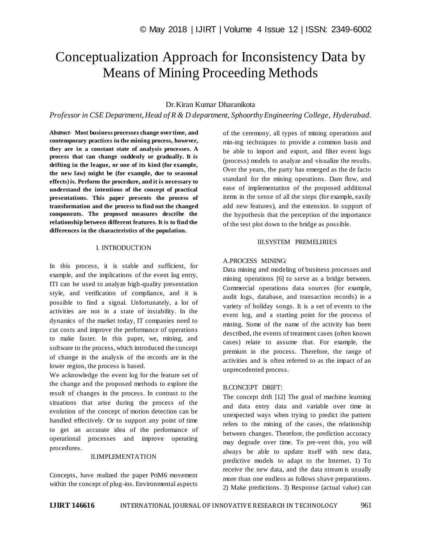# Conceptualization Approach for Inconsistency Data by Means of Mining Proceeding Methods

## Dr.Kiran Kumar Dharanikota

*Professor in CSE Department, Head of R & D department, Sphoorthy Engineering College, Hyderabad.*

*Abstract*- **Most business processes change over time, and contemporary practices in the mining process, however, they are in a constant state of analysis processes. A process that can change suddenly or gradually. It is drifting in the league, or one of its kind (for example, the new law) might be (for example, due to seasonal effects) is. Perform the procedure, and it is necessary to understand the intentions of the concept of practical presentations. This paper presents the process of transformation and the process to find out the changed components. The proposed measures describe the relationship between different features. It is to find the differences in the characteristics of the population.**

#### I. INTRODUCTION

In this process, it is stable and sufficient, for example, and the implications of the event log entry, ITI can be used to analyze high-quality presentation style, and verification of compliance, and it is possible to find a signal. Unfortunately, a lot of activities are not in a state of instability. In the dynamics of the market today, IT companies need to cut costs and improve the performance of operations to make faster. In this paper, we, mining, and software to the process, which introduced the concept of change in the analysis of the records are in the lower region, the process is based.

We acknowledge the event log for the feature set of the change and the proposed methods to explore the result of changes in the process. In contrast to the situations that arise during the process of the evolution of the concept of motion detection can be handled effectively. Or to support any point of time to get an accurate idea of the performance of operational processes and improve operating procedures.

#### II.IMPLEMENTATION

Concepts, have realized the paper PriM6 movement within the concept of plug-ins. Environmental aspects

of the ceremony, all types of mining operations and min-ing techniques to provide a common basis and be able to import and export, and filter event logs (process) models to analyze and visualize the results. Over the years, the party has emerged as the de facto standard for the mining operations. Dam flow, and ease of implementation of the proposed additional items in the sense of all the steps (for example, easily add new features), and the extension. In support of the hypothesis that the perception of the importance of the test plot down to the bridge as possible.

## III.SYSTEM PREMELIRIES

## A.PROCESS MINING:

Data mining and modeling of business processes and mining operations [6] to serve as a bridge between. Commercial operations data sources (for example, audit logs, database, and transaction records) in a variety of holiday songs. It is a set of events to the event log, and a starting point for the process of mining. Some of the name of the activity has been described, the events of treatment cases (often known cases) relate to assume that. For example, the premium in the process. Therefore, the range of activities and is often referred to as the impact of an unprecedented process.

#### B.CONCEPT DRIFT:

The concept drift [12] The goal of machine learning and data entry data and variable over time in unexpected ways when trying to predict the pattern refers to the mining of the cases, the relationship between changes. Therefore, the prediction accuracy may degrade over time. To pre-vent this, you will always be able to update itself with new data, predictive models to adapt to the Internet. 1) To receive the new data, and the data stream is usually more than one endless as follows shave preparations. 2) Make predictions. 3) Response (actual value) can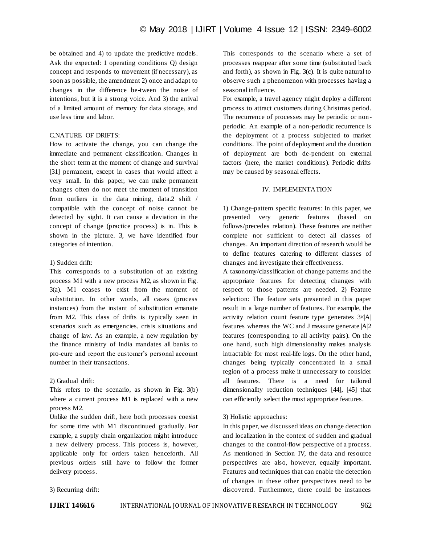be obtained and 4) to update the predictive models. Ask the expected: 1 operating conditions Q) design concept and responds to movement (if necessary), as soon as possible, the amendment 2) once and adapt to changes in the difference be-tween the noise of intentions, but it is a strong voice. And 3) the arrival of a limited amount of memory for data storage, and use less time and labor.

#### C.NATURE OF DRIFTS:

How to activate the change, you can change the immediate and permanent classification. Changes in the short term at the moment of change and survival [31] permanent, except in cases that would affect a very small. In this paper, we can make permanent changes often do not meet the moment of transition from outliers in the data mining, data.2 shift / compatible with the concept of noise cannot be detected by sight. It can cause a deviation in the concept of change (practice process) is in. This is shown in the picture. 3, we have identified four categories of intention.

## 1) Sudden drift:

This corresponds to a substitution of an existing process M1 with a new process M2, as shown in Fig. 3(a). M1 ceases to exist from the moment of substitution. In other words, all cases (process instances) from the instant of substitution emanate from M2. This class of drifts is typically seen in scenarios such as emergencies, crisis situations and change of law. As an example, a new regulation by the finance ministry of India mandates all banks to pro-cure and report the customer's personal account number in their transactions.

## 2) Gradual drift:

This refers to the scenario, as shown in Fig. 3(b) where a current process M1 is replaced with a new process M2.

Unlike the sudden drift, here both processes coexist for some time with M1 discontinued gradually. For example, a supply chain organization might introduce a new delivery process. This process is, however, applicable only for orders taken henceforth. All previous orders still have to follow the former delivery process.

This corresponds to the scenario where a set of processes reappear after some time (substituted back and forth), as shown in Fig. 3(c). It is quite natural to observe such a phenomenon with processes having a seasonal influence.

For example, a travel agency might deploy a different process to attract customers during Christmas period. The recurrence of processes may be periodic or nonperiodic. An example of a non-periodic recurrence is the deployment of a process subjected to market conditions. The point of deployment and the duration of deployment are both de-pendent on external factors (here, the market conditions). Periodic drifts may be caused by seasonal effects.

## IV. IMPLEMENTATION

1) Change-pattern specific features: In this paper, we presented very generic features (based on follows/precedes relation). These features are neither complete nor sufficient to detect all classes of changes. An important direction of research would be to define features catering to different classes of changes and investigate their effectiveness.

A taxonomy/classification of change patterns and the appropriate features for detecting changes with respect to those patterns are needed. 2) Feature selection: The feature sets presented in this paper result in a large number of features. For example, the activity relation count feature type generates  $3\times|A|$ features whereas the WC and J measure generate  $|A|2$ features (corresponding to all activity pairs). On the one hand, such high dimensionality makes analysis intractable for most real-life logs. On the other hand, changes being typically concentrated in a small region of a process make it unnecessary to consider all features. There is a need for tailored dimensionality reduction techniques [44], [45] that can efficiently select the most appropriate features.

## 3) Holistic approaches:

In this paper, we discussed ideas on change detection and localization in the context of sudden and gradual changes to the control-flow perspective of a process. As mentioned in Section IV, the data and resource perspectives are also, however, equally important. Features and techniques that can enable the detection of changes in these other perspectives need to be discovered. Furthermore, there could be instances

3) Recurring drift: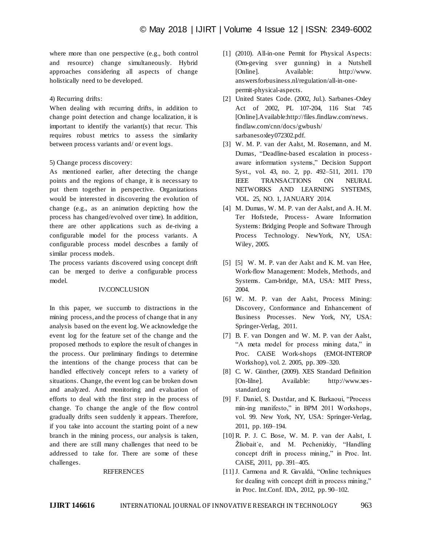where more than one perspective (e.g., both control and resource) change simultaneously. Hybrid approaches considering all aspects of change holistically need to be developed.

4) Recurring drifts:

When dealing with recurring drifts, in addition to change point detection and change localization, it is important to identify the variant(s) that recur. This requires robust metrics to assess the similarity between process variants and/ or event logs.

## 5) Change process discovery:

As mentioned earlier, after detecting the change points and the regions of change, it is necessary to put them together in perspective. Organizations would be interested in discovering the evolution of change (e.g., as an animation depicting how the process has changed/evolved over time). In addition, there are other applications such as de-riving a configurable model for the process variants. A configurable process model describes a family of similar process models.

The process variants discovered using concept drift can be merged to derive a configurable process model.

#### IV.CONCLUSION

In this paper, we succumb to distractions in the mining process, and the process of change that in any analysis based on the event log. We acknowledge the event log for the feature set of the change and the proposed methods to explore the result of changes in the process. Our preliminary findings to determine the intentions of the change process that can be handled effectively concept refers to a variety of situations. Change, the event log can be broken down and analyzed. And monitoring and evaluation of efforts to deal with the first step in the process of change. To change the angle of the flow control gradually drifts seen suddenly it appears. Therefore, if you take into account the starting point of a new branch in the mining process, our analysis is taken, and there are still many challenges that need to be addressed to take for. There are some of these challenges.

#### **REFERENCES**

- [1] (2010). All-in-one Permit for Physical Aspects: (Om-geving sver gunning) in a Nutshell [Online]. Available: http://www. answersforbusiness.nl/regulation/all-in-onepermit-physical-aspects.
- [2] United States Code. (2002, Jul.). Sarbanes-Oxley Act of 2002, PL 107-204, 116 Stat 745 [Online].Available:http://files.findlaw.com/news. findlaw.com/cnn/docs/gwbush/ sarbanesoxley072302.pdf.
- [3] W. M. P. van der Aalst, M. Rosemann, and M. Dumas, "Deadline-based escalation in processaware information systems," Decision Support Syst., vol. 43, no. 2, pp. 492–511, 2011. 170 IEEE TRANSACTIONS ON NEURAL NETWORKS AND LEARNING SYSTEMS, VOL. 25, NO. 1, JANUARY 2014.
- [4] M. Dumas, W. M. P. van der Aalst, and A. H. M. Ter Hofstede, Process- Aware Information Systems: Bridging People and Software Through Process Technology. NewYork, NY, USA: Wiley, 2005.
- [5] [5] W. M. P. van der Aalst and K. M. van Hee, Work-flow Management: Models, Methods, and Systems. Cam-bridge, MA, USA: MIT Press, 2004.
- [6] W. M. P. van der Aalst, Process Mining: Discovery, Conformance and Enhancement of Business Processes. New York, NY, USA: Springer-Verlag, 2011.
- [7] B. F. van Dongen and W. M. P. van der Aalst, "A meta model for process mining data," in Proc. CAiSE Work-shops (EMOI-INTEROP Workshop), vol. 2. 2005, pp. 309–320.
- [8] C. W. Günther, (2009). XES Standard Definition [On-lilne]. Available: http://www.xesstandard.org
- [9] F. Daniel, S. Dustdar, and K. Barkaoui, "Process min-ing manifesto," in BPM 2011 Workshops, vol. 99. New York, NY, USA: Springer-Verlag, 2011, pp. 169–194.
- [10] R. P. J. C. Bose, W. M. P. van der Aalst, I.  $\check{Z}$ liobait e, and M. Pechenizkiy, "Handling concept drift in process mining," in Proc. Int. CAiSE, 2011, pp. 391–405.
- [11] J. Carmona and R. Gavaldà, "Online techniques for dealing with concept drift in process mining," in Proc. Int.Conf. IDA, 2012, pp. 90–102.